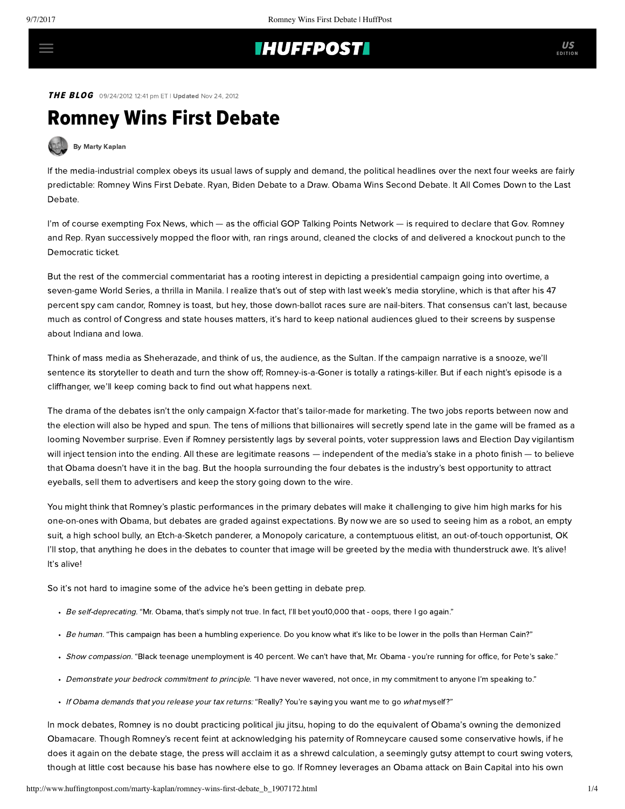## **THUFFPOSTI** US

**THE BLOG** 09/24/2012 12:41 pm ET | Updated Nov 24, 2012

## Romney Wins First Debate

[B](http://www.huffingtonpost.com/author/marty-kaplan)y Marty [Kaplan](http://www.huffingtonpost.com/author/marty-kaplan)

If the media-industrial complex obeys its usual laws of supply and demand, the political headlines over the next four weeks are fairly predictable: Romney Wins First Debate. Ryan, Biden Debate to a Draw. Obama Wins Second Debate. It All Comes Down to the Last Debate.

I'm of course exempting Fox News, which — as the official GOP Talking Points Network — is required to declare that Gov. Romney and Rep. Ryan successively mopped the floor with, ran rings around, cleaned the clocks of and delivered a knockout punch to the Democratic ticket.

But the rest of the commercial commentariat has a rooting interest in depicting a presidential campaign going into overtime, a seven-game World Series, a thrilla in Manila. I realize that's out of step with last week's media storyline, which is that after his 47 percent spy cam candor, Romney is toast, but hey, those down-ballot races sure are nail-biters. That consensus can't last, because much as control of Congress and state houses matters, it's hard to keep national audiences glued to their screens by suspense about Indiana and Iowa.

Think of mass media as Sheherazade, and think of us, the audience, as the Sultan. If the campaign narrative is a snooze, we'll sentence its storyteller to death and turn the show off; Romney-is-a-Goner is totally a ratings-killer. But if each night's episode is a cliffhanger, we'll keep coming back to find out what happens next.

The drama of the debates isn't the only campaign X-factor that's tailor-made for marketing. The two jobs reports between now and the election will also be hyped and spun. The tens of millions that billionaires will secretly spend late in the game will be framed as a looming November surprise. Even if Romney persistently lags by several points, voter suppression laws and Election Day vigilantism will inject tension into the ending. All these are legitimate reasons — independent of the media's stake in a photo finish — to believe that Obama doesn't have it in the bag. But the hoopla surrounding the four debates is the industry's best opportunity to attract eyeballs, sell them to advertisers and keep the story going down to the wire.

You might think that Romney's plastic performances in the primary debates will make it challenging to give him high marks for his one-on-ones with Obama, but debates are graded against expectations. By now we are so used to seeing him as a robot, an empty suit, a high school bully, an Etch-a-Sketch panderer, a Monopoly caricature, a contemptuous elitist, an out-of-touch opportunist, OK I'll stop, that anything he does in the debates to counter that image will be greeted by the media with thunderstruck awe. It's alive! It's alive!

So it's not hard to imagine some of the advice he's been getting in debate prep.

- Be self-deprecating. "Mr. Obama, that's simply not true. In fact, I'll bet you10,000 that oops, there I go again."
- Be human. "This campaign has been a humbling experience. Do you know what it's like to be lower in the polls than Herman Cain?"
- . Show compassion. "Black teenage unemployment is 40 percent. We can't have that, Mr. Obama you're running for office, for Pete's sake."
- Demonstrate your bedrock commitment to principle. "I have never wavered, not once, in my commitment to anyone I'm speaking to."
- If Obama demands that you release your tax returns: "Really? You're saying you want me to go what myself?"

In mock debates, Romney is no doubt practicing political jiu jitsu, hoping to do the equivalent of Obama's owning the demonized Obamacare. Though Romney's recent feint at acknowledging his paternity of Romneycare caused some conservative howls, if he does it again on the debate stage, the press will acclaim it as a shrewd calculation, a seemingly gutsy attempt to court swing voters, though at little cost because his base has nowhere else to go. If Romney leverages an Obama attack on Bain Capital into his own